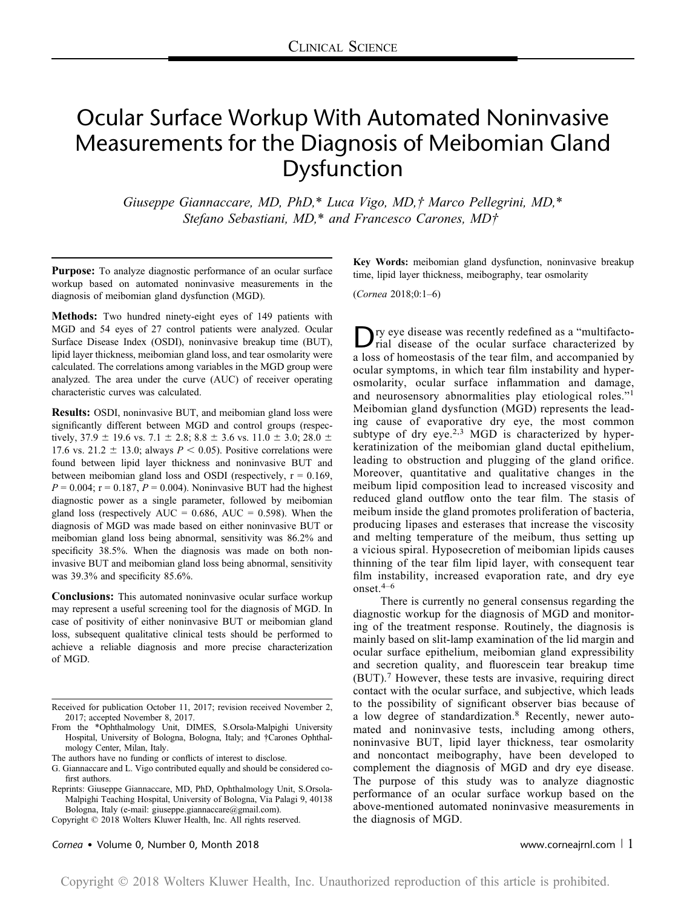# Ocular Surface Workup With Automated Noninvasive Measurements for the Diagnosis of Meibomian Gland Dysfunction

Giuseppe Giannaccare, MD, PhD,\* Luca Vigo, MD,† Marco Pellegrini, MD,\* Stefano Sebastiani, MD,\* and Francesco Carones, MD†

Purpose: To analyze diagnostic performance of an ocular surface workup based on automated noninvasive measurements in the diagnosis of meibomian gland dysfunction (MGD).

Methods: Two hundred ninety-eight eyes of 149 patients with MGD and 54 eyes of 27 control patients were analyzed. Ocular Surface Disease Index (OSDI), noninvasive breakup time (BUT), lipid layer thickness, meibomian gland loss, and tear osmolarity were calculated. The correlations among variables in the MGD group were analyzed. The area under the curve (AUC) of receiver operating characteristic curves was calculated.

Results: OSDI, noninvasive BUT, and meibomian gland loss were significantly different between MGD and control groups (respectively, 37.9  $\pm$  19.6 vs. 7.1  $\pm$  2.8; 8.8  $\pm$  3.6 vs. 11.0  $\pm$  3.0; 28.0  $\pm$ 17.6 vs. 21.2  $\pm$  13.0; always  $P < 0.05$ ). Positive correlations were found between lipid layer thickness and noninvasive BUT and between meibomian gland loss and OSDI (respectively,  $r = 0.169$ ,  $P = 0.004$ ; r = 0.187,  $P = 0.004$ ). Noninvasive BUT had the highest diagnostic power as a single parameter, followed by meibomian gland loss (respectively  $AUC = 0.686$ ,  $AUC = 0.598$ ). When the diagnosis of MGD was made based on either noninvasive BUT or meibomian gland loss being abnormal, sensitivity was 86.2% and specificity 38.5%. When the diagnosis was made on both noninvasive BUT and meibomian gland loss being abnormal, sensitivity was 39.3% and specificity 85.6%.

Conclusions: This automated noninvasive ocular surface workup may represent a useful screening tool for the diagnosis of MGD. In case of positivity of either noninvasive BUT or meibomian gland loss, subsequent qualitative clinical tests should be performed to achieve a reliable diagnosis and more precise characterization of MGD.

Copyright © 2018 Wolters Kluwer Health, Inc. All rights reserved.

Cornea Volume 0, Number 0, Month 2018 www.corneajrnl.com <sup>|</sup> 1

Key Words: meibomian gland dysfunction, noninvasive breakup time, lipid layer thickness, meibography, tear osmolarity

(Cornea 2018;0:1–6)

Dry eye disease was recently redefined as a "multifactorial disease of the ocular surface characterized by a loss of homeostasis of the tear film, and accompanied by ocular symptoms, in which tear film instability and hyperosmolarity, ocular surface inflammation and damage, and neurosensory abnormalities play etiological roles."<sup>1</sup> Meibomian gland dysfunction (MGD) represents the leading cause of evaporative dry eye, the most common subtype of dry eye.<sup>2,3</sup> MGD is characterized by hyperkeratinization of the meibomian gland ductal epithelium, leading to obstruction and plugging of the gland orifice. Moreover, quantitative and qualitative changes in the meibum lipid composition lead to increased viscosity and reduced gland outflow onto the tear film. The stasis of meibum inside the gland promotes proliferation of bacteria, producing lipases and esterases that increase the viscosity and melting temperature of the meibum, thus setting up a vicious spiral. Hyposecretion of meibomian lipids causes thinning of the tear film lipid layer, with consequent tear film instability, increased evaporation rate, and dry eye onset.4–<sup>6</sup>

There is currently no general consensus regarding the diagnostic workup for the diagnosis of MGD and monitoring of the treatment response. Routinely, the diagnosis is mainly based on slit-lamp examination of the lid margin and ocular surface epithelium, meibomian gland expressibility and secretion quality, and fluorescein tear breakup time (BUT).<sup>7</sup> However, these tests are invasive, requiring direct contact with the ocular surface, and subjective, which leads to the possibility of significant observer bias because of a low degree of standardization.<sup>8</sup> Recently, newer automated and noninvasive tests, including among others, noninvasive BUT, lipid layer thickness, tear osmolarity and noncontact meibography, have been developed to complement the diagnosis of MGD and dry eye disease. The purpose of this study was to analyze diagnostic performance of an ocular surface workup based on the above-mentioned automated noninvasive measurements in the diagnosis of MGD.

Received for publication October 11, 2017; revision received November 2, 2017; accepted November 8, 2017.

From the \*Ophthalmology Unit, DIMES, S.Orsola-Malpighi University Hospital, University of Bologna, Bologna, Italy; and †Carones Ophthalmology Center, Milan, Italy.

The authors have no funding or conflicts of interest to disclose.

G. Giannaccare and L. Vigo contributed equally and should be considered cofirst authors.

Reprints: Giuseppe Giannaccare, MD, PhD, Ophthalmology Unit, S.Orsola-Malpighi Teaching Hospital, University of Bologna, Via Palagi 9, 40138 Bologna, Italy (e-mail: [giuseppe.giannaccare@gmail.com\)](mailto:giuseppe.giannaccare@gmail.com).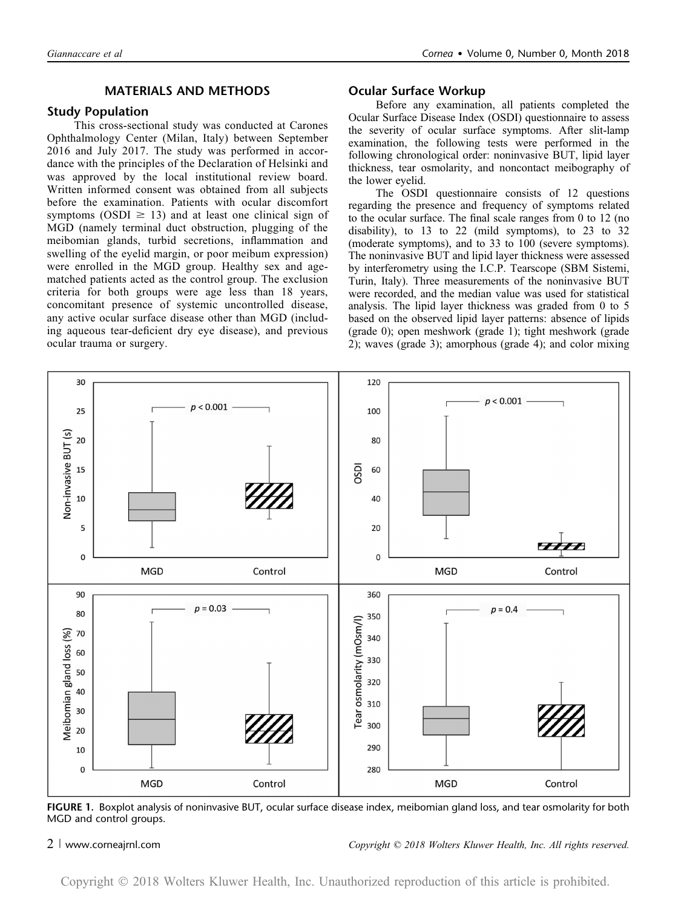## MATERIALS AND METHODS

## Study Population

This cross-sectional study was conducted at Carones Ophthalmology Center (Milan, Italy) between September 2016 and July 2017. The study was performed in accordance with the principles of the Declaration of Helsinki and was approved by the local institutional review board. Written informed consent was obtained from all subjects before the examination. Patients with ocular discomfort symptoms (OSDI  $\geq$  13) and at least one clinical sign of MGD (namely terminal duct obstruction, plugging of the meibomian glands, turbid secretions, inflammation and swelling of the eyelid margin, or poor meibum expression) were enrolled in the MGD group. Healthy sex and agematched patients acted as the control group. The exclusion criteria for both groups were age less than 18 years, concomitant presence of systemic uncontrolled disease, any active ocular surface disease other than MGD (including aqueous tear-deficient dry eye disease), and previous ocular trauma or surgery.

### Ocular Surface Workup

Before any examination, all patients completed the Ocular Surface Disease Index (OSDI) questionnaire to assess the severity of ocular surface symptoms. After slit-lamp examination, the following tests were performed in the following chronological order: noninvasive BUT, lipid layer thickness, tear osmolarity, and noncontact meibography of the lower eyelid.

The OSDI questionnaire consists of 12 questions regarding the presence and frequency of symptoms related to the ocular surface. The final scale ranges from 0 to 12 (no disability), to 13 to 22 (mild symptoms), to 23 to 32 (moderate symptoms), and to 33 to 100 (severe symptoms). The noninvasive BUT and lipid layer thickness were assessed by interferometry using the I.C.P. Tearscope (SBM Sistemi, Turin, Italy). Three measurements of the noninvasive BUT were recorded, and the median value was used for statistical analysis. The lipid layer thickness was graded from 0 to 5 based on the observed lipid layer patterns: absence of lipids (grade 0); open meshwork (grade 1); tight meshwork (grade 2); waves (grade 3); amorphous (grade 4); and color mixing



FIGURE 1. Boxplot analysis of noninvasive BUT, ocular surface disease index, meibomian gland loss, and tear osmolarity for both MGD and control groups.

### 2 <sup>|</sup> www.corneajrnl.com Copyright © 2018 Wolters Kluwer Health, Inc. All rights reserved.

Copyright 2018 Wolters Kluwer Health, Inc. Unauthorized reproduction of this article is prohibited.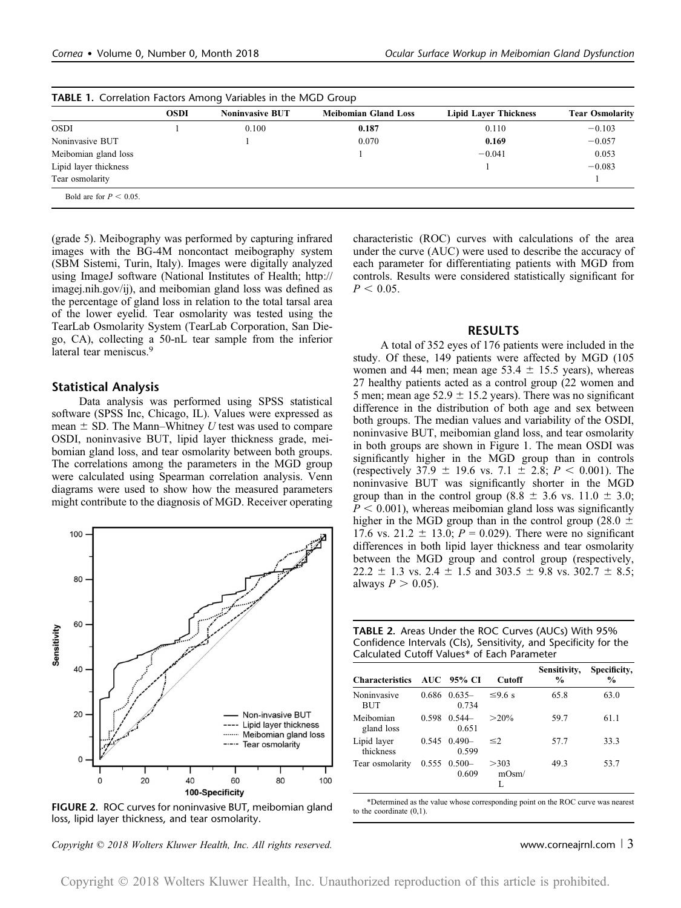|                       | <b>OSDI</b> | <b>Noninvasive BUT</b> | <b>Meibomian Gland Loss</b> | <b>Lipid Layer Thickness</b> | <b>Tear Osmolarity</b> |
|-----------------------|-------------|------------------------|-----------------------------|------------------------------|------------------------|
| <b>OSDI</b>           |             | 0.100                  | 0.187                       | 0.110                        | $-0.103$               |
| Noninvasive BUT       |             |                        | 0.070                       | 0.169                        | $-0.057$               |
| Meibomian gland loss  |             |                        |                             | $-0.041$                     | 0.053                  |
| Lipid layer thickness |             |                        |                             |                              | $-0.083$               |
| Tear osmolarity       |             |                        |                             |                              |                        |

(grade 5). Meibography was performed by capturing infrared images with the BG-4M noncontact meibography system (SBM Sistemi, Turin, Italy). Images were digitally analyzed using ImageJ software (National Institutes of Health; [http://](http://imagej.nih.gov/ij) [imagej.nih.gov/ij\)](http://imagej.nih.gov/ij), and meibomian gland loss was defined as the percentage of gland loss in relation to the total tarsal area of the lower eyelid. Tear osmolarity was tested using the TearLab Osmolarity System (TearLab Corporation, San Diego, CA), collecting a 50-nL tear sample from the inferior lateral tear meniscus.<sup>9</sup>

#### Statistical Analysis

Data analysis was performed using SPSS statistical software (SPSS Inc, Chicago, IL). Values were expressed as mean  $\pm$  SD. The Mann–Whitney U test was used to compare OSDI, noninvasive BUT, lipid layer thickness grade, meibomian gland loss, and tear osmolarity between both groups. The correlations among the parameters in the MGD group were calculated using Spearman correlation analysis. Venn diagrams were used to show how the measured parameters might contribute to the diagnosis of MGD. Receiver operating



FIGURE 2. ROC curves for noninvasive BUT, meibomian gland loss, lipid layer thickness, and tear osmolarity.

 $Copyright © 2018 Wolters Kluwer Health, Inc. All rights reserved.$  exerved. www.corneajrnl.com | 3

characteristic (ROC) curves with calculations of the area under the curve (AUC) were used to describe the accuracy of each parameter for differentiating patients with MGD from controls. Results were considered statistically significant for  $P < 0.05$ .

### RESULTS

A total of 352 eyes of 176 patients were included in the study. Of these, 149 patients were affected by MGD (105 women and 44 men; mean age  $53.4 \pm 15.5$  years), whereas 27 healthy patients acted as a control group (22 women and 5 men; mean age  $52.9 \pm 15.2$  years). There was no significant difference in the distribution of both age and sex between both groups. The median values and variability of the OSDI, noninvasive BUT, meibomian gland loss, and tear osmolarity in both groups are shown in Figure 1. The mean OSDI was significantly higher in the MGD group than in controls (respectively 37.9  $\pm$  19.6 vs. 7.1  $\pm$  2.8; P < 0.001). The noninvasive BUT was significantly shorter in the MGD group than in the control group (8.8  $\pm$  3.6 vs. 11.0  $\pm$  3.0;  $P < 0.001$ ), whereas meibomian gland loss was significantly higher in the MGD group than in the control group (28.0  $\pm$ 17.6 vs. 21.2  $\pm$  13.0; *P* = 0.029). There were no significant differences in both lipid layer thickness and tear osmolarity between the MGD group and control group (respectively,  $22.2 \pm 1.3$  vs.  $2.4 \pm 1.5$  and  $303.5 \pm 9.8$  vs.  $302.7 \pm 8.5$ ; always  $P > 0.05$ ).

| <b>TABLE 2.</b> Areas Under the ROC Curves (AUCs) With 95%       |
|------------------------------------------------------------------|
| Confidence Intervals (CIs), Sensitivity, and Specificity for the |
| Calculated Cutoff Values* of Each Parameter                      |

| <b>Characteristics</b>   |       | AUC 95% CI                | Cutoff        | Sensitivity,<br>$\frac{0}{0}$ | Specificity,<br>$\frac{0}{0}$ |
|--------------------------|-------|---------------------------|---------------|-------------------------------|-------------------------------|
| Noninvasive<br>BUT       |       | $0.686$ $0.635-$<br>0.734 | $\leq$ 96 s   | 65.8                          | 63.0                          |
| Meibomian<br>gland loss  | 0.598 | $0.544-$<br>0.651         | $>20\%$       | 59.7                          | 61.1                          |
| Lipid layer<br>thickness | 0.545 | $0.490 -$<br>0.599        | $\leq$ 2      | 57.7                          | 33.3                          |
| Tear osmolarity          |       | $0.555$ $0.500-$<br>0.609 | >303<br>mOsm/ | 49.3                          | 53.7                          |

\*Determined as the value whose corresponding point on the ROC curve was nearest to the coordinate (0,1).

Copyright 2018 Wolters Kluwer Health, Inc. Unauthorized reproduction of this article is prohibited.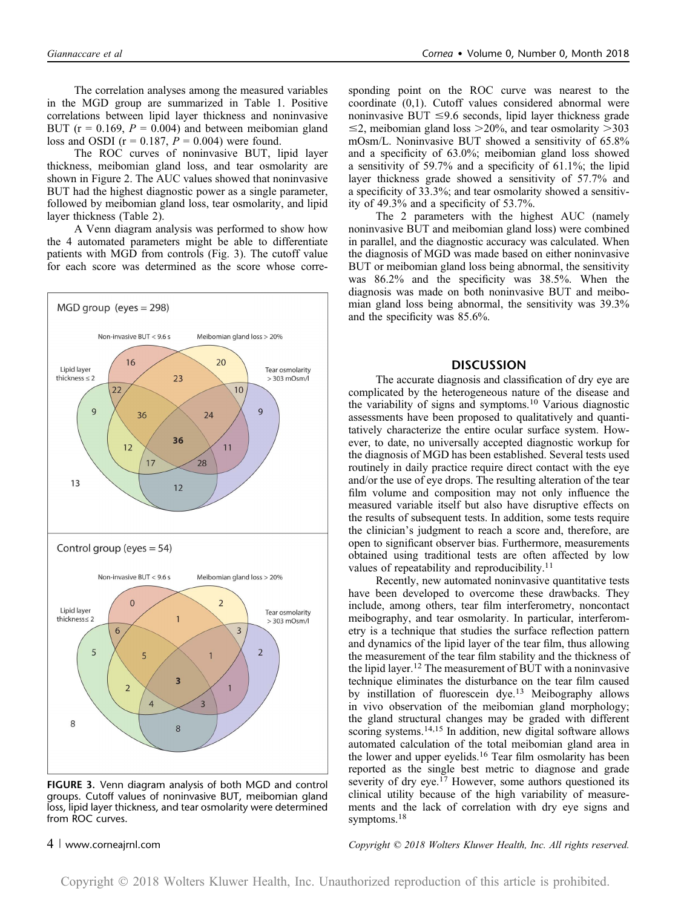The correlation analyses among the measured variables in the MGD group are summarized in Table 1. Positive correlations between lipid layer thickness and noninvasive BUT ( $r = 0.169$ ,  $P = 0.004$ ) and between meibomian gland loss and OSDI ( $r = 0.187$ ,  $P = 0.004$ ) were found.

The ROC curves of noninvasive BUT, lipid layer thickness, meibomian gland loss, and tear osmolarity are shown in Figure 2. The AUC values showed that noninvasive BUT had the highest diagnostic power as a single parameter, followed by meibomian gland loss, tear osmolarity, and lipid layer thickness (Table 2).

A Venn diagram analysis was performed to show how the 4 automated parameters might be able to differentiate patients with MGD from controls (Fig. 3). The cutoff value for each score was determined as the score whose corre-



FIGURE 3. Venn diagram analysis of both MGD and control groups. Cutoff values of noninvasive BUT, meibomian gland loss, lipid layer thickness, and tear osmolarity were determined from ROC curves.

sponding point on the ROC curve was nearest to the coordinate (0,1). Cutoff values considered abnormal were noninvasive BUT  $\leq$ 9.6 seconds, lipid layer thickness grade  $\leq$ 2, meibomian gland loss  $>$ 20%, and tear osmolarity  $>$ 303 mOsm/L. Noninvasive BUT showed a sensitivity of 65.8% and a specificity of 63.0%; meibomian gland loss showed a sensitivity of 59.7% and a specificity of 61.1%; the lipid layer thickness grade showed a sensitivity of 57.7% and a specificity of 33.3%; and tear osmolarity showed a sensitivity of 49.3% and a specificity of 53.7%.

The 2 parameters with the highest AUC (namely noninvasive BUT and meibomian gland loss) were combined in parallel, and the diagnostic accuracy was calculated. When the diagnosis of MGD was made based on either noninvasive BUT or meibomian gland loss being abnormal, the sensitivity was 86.2% and the specificity was 38.5%. When the diagnosis was made on both noninvasive BUT and meibomian gland loss being abnormal, the sensitivity was 39.3% and the specificity was 85.6%.

#### **DISCUSSION**

The accurate diagnosis and classification of dry eye are complicated by the heterogeneous nature of the disease and the variability of signs and symptoms.<sup>10</sup> Various diagnostic assessments have been proposed to qualitatively and quantitatively characterize the entire ocular surface system. However, to date, no universally accepted diagnostic workup for the diagnosis of MGD has been established. Several tests used routinely in daily practice require direct contact with the eye and/or the use of eye drops. The resulting alteration of the tear film volume and composition may not only influence the measured variable itself but also have disruptive effects on the results of subsequent tests. In addition, some tests require the clinician's judgment to reach a score and, therefore, are open to significant observer bias. Furthermore, measurements obtained using traditional tests are often affected by low values of repeatability and reproducibility.<sup>11</sup>

Recently, new automated noninvasive quantitative tests have been developed to overcome these drawbacks. They include, among others, tear film interferometry, noncontact meibography, and tear osmolarity. In particular, interferometry is a technique that studies the surface reflection pattern and dynamics of the lipid layer of the tear film, thus allowing the measurement of the tear film stability and the thickness of the lipid layer.<sup>12</sup> The measurement of BUT with a noninvasive technique eliminates the disturbance on the tear film caused by instillation of fluorescein dye.<sup>13</sup> Meibography allows in vivo observation of the meibomian gland morphology; the gland structural changes may be graded with different scoring systems.<sup>14,15</sup> In addition, new digital software allows automated calculation of the total meibomian gland area in the lower and upper eyelids.<sup>16</sup> Tear film osmolarity has been reported as the single best metric to diagnose and grade severity of dry eye.<sup>17</sup> However, some authors questioned its clinical utility because of the high variability of measurements and the lack of correlation with dry eye signs and symptoms.<sup>18</sup>

4 <sup>|</sup> www.corneajrnl.com Copyright © 2018 Wolters Kluwer Health, Inc. All rights reserved.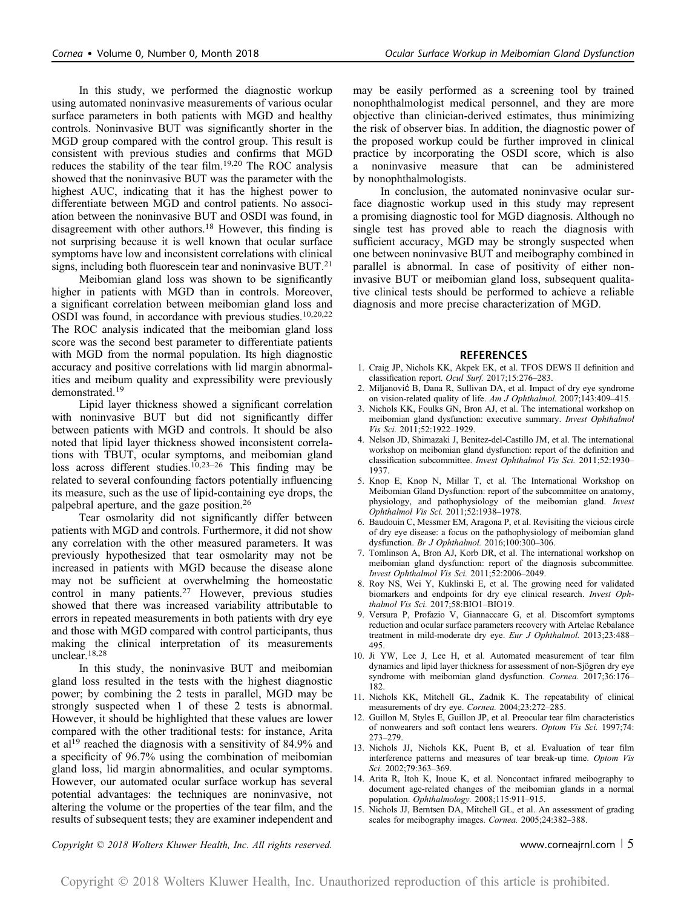In this study, we performed the diagnostic workup using automated noninvasive measurements of various ocular surface parameters in both patients with MGD and healthy controls. Noninvasive BUT was significantly shorter in the MGD group compared with the control group. This result is consistent with previous studies and confirms that MGD reduces the stability of the tear film.<sup>19,20</sup> The ROC analysis showed that the noninvasive BUT was the parameter with the highest AUC, indicating that it has the highest power to differentiate between MGD and control patients. No association between the noninvasive BUT and OSDI was found, in disagreement with other authors.<sup>18</sup> However, this finding is not surprising because it is well known that ocular surface symptoms have low and inconsistent correlations with clinical signs, including both fluorescein tear and noninvasive BUT.<sup>21</sup>

Meibomian gland loss was shown to be significantly higher in patients with MGD than in controls. Moreover, a significant correlation between meibomian gland loss and OSDI was found, in accordance with previous studies.<sup>10,20,22</sup> The ROC analysis indicated that the meibomian gland loss score was the second best parameter to differentiate patients with MGD from the normal population. Its high diagnostic accuracy and positive correlations with lid margin abnormalities and meibum quality and expressibility were previously demonstrated.<sup>19</sup>

Lipid layer thickness showed a significant correlation with noninvasive BUT but did not significantly differ between patients with MGD and controls. It should be also noted that lipid layer thickness showed inconsistent correlations with TBUT, ocular symptoms, and meibomian gland loss across different studies.<sup>10,23-26</sup> This finding may be related to several confounding factors potentially influencing its measure, such as the use of lipid-containing eye drops, the palpebral aperture, and the gaze position.<sup>26</sup>

Tear osmolarity did not significantly differ between patients with MGD and controls. Furthermore, it did not show any correlation with the other measured parameters. It was previously hypothesized that tear osmolarity may not be increased in patients with MGD because the disease alone may not be sufficient at overwhelming the homeostatic control in many patients.<sup>27</sup> However, previous studies showed that there was increased variability attributable to errors in repeated measurements in both patients with dry eye and those with MGD compared with control participants, thus making the clinical interpretation of its measurements unclear.18,28

In this study, the noninvasive BUT and meibomian gland loss resulted in the tests with the highest diagnostic power; by combining the 2 tests in parallel, MGD may be strongly suspected when 1 of these 2 tests is abnormal. However, it should be highlighted that these values are lower compared with the other traditional tests: for instance, Arita et al<sup>19</sup> reached the diagnosis with a sensitivity of 84.9% and a specificity of 96.7% using the combination of meibomian gland loss, lid margin abnormalities, and ocular symptoms. However, our automated ocular surface workup has several potential advantages: the techniques are noninvasive, not altering the volume or the properties of the tear film, and the results of subsequent tests; they are examiner independent and may be easily performed as a screening tool by trained nonophthalmologist medical personnel, and they are more objective than clinician-derived estimates, thus minimizing the risk of observer bias. In addition, the diagnostic power of the proposed workup could be further improved in clinical practice by incorporating the OSDI score, which is also a noninvasive measure that can be administered by nonophthalmologists.

In conclusion, the automated noninvasive ocular surface diagnostic workup used in this study may represent a promising diagnostic tool for MGD diagnosis. Although no single test has proved able to reach the diagnosis with sufficient accuracy, MGD may be strongly suspected when one between noninvasive BUT and meibography combined in parallel is abnormal. In case of positivity of either noninvasive BUT or meibomian gland loss, subsequent qualitative clinical tests should be performed to achieve a reliable diagnosis and more precise characterization of MGD.

#### REFERENCES

- 1. Craig JP, Nichols KK, Akpek EK, et al. TFOS DEWS II definition and classification report. Ocul Surf. 2017;15:276–283.
- 2. Miljanović B, Dana R, Sullivan DA, et al. Impact of dry eye syndrome on vision-related quality of life. Am J Ophthalmol. 2007;143:409–415.
- 3. Nichols KK, Foulks GN, Bron AJ, et al. The international workshop on meibomian gland dysfunction: executive summary. Invest Ophthalmol Vis Sci. 2011;52:1922–1929.
- 4. Nelson JD, Shimazaki J, Benitez-del-Castillo JM, et al. The international workshop on meibomian gland dysfunction: report of the definition and classification subcommittee. Invest Ophthalmol Vis Sci. 2011;52:1930– 1937.
- 5. Knop E, Knop N, Millar T, et al. The International Workshop on Meibomian Gland Dysfunction: report of the subcommittee on anatomy, physiology, and pathophysiology of the meibomian gland. Invest Ophthalmol Vis Sci. 2011;52:1938–1978.
- 6. Baudouin C, Messmer EM, Aragona P, et al. Revisiting the vicious circle of dry eye disease: a focus on the pathophysiology of meibomian gland dysfunction. Br J Ophthalmol. 2016;100:300–306.
- 7. Tomlinson A, Bron AJ, Korb DR, et al. The international workshop on meibomian gland dysfunction: report of the diagnosis subcommittee. Invest Ophthalmol Vis Sci. 2011;52:2006–2049.
- 8. Roy NS, Wei Y, Kuklinski E, et al. The growing need for validated biomarkers and endpoints for dry eye clinical research. Invest Ophthalmol Vis Sci. 2017;58:BIO1-BIO19.
- 9. Versura P, Profazio V, Giannaccare G, et al. Discomfort symptoms reduction and ocular surface parameters recovery with Artelac Rebalance treatment in mild-moderate dry eye. Eur J Ophthalmol. 2013;23:488– 495.
- 10. Ji YW, Lee J, Lee H, et al. Automated measurement of tear film dynamics and lipid layer thickness for assessment of non-Sjögren dry eye syndrome with meibomian gland dysfunction. Cornea. 2017;36:176– 182.
- 11. Nichols KK, Mitchell GL, Zadnik K. The repeatability of clinical measurements of dry eye. Cornea. 2004;23:272–285.
- 12. Guillon M, Styles E, Guillon JP, et al. Preocular tear film characteristics of nonwearers and soft contact lens wearers. Optom Vis Sci. 1997;74: 273–279.
- 13. Nichols JJ, Nichols KK, Puent B, et al. Evaluation of tear film interference patterns and measures of tear break-up time. Optom Vis Sci. 2002;79:363–369.
- 14. Arita R, Itoh K, Inoue K, et al. Noncontact infrared meibography to document age-related changes of the meibomian glands in a normal population. Ophthalmology. 2008;115:911–915.
- 15. Nichols JJ, Berntsen DA, Mitchell GL, et al. An assessment of grading scales for meibography images. Cornea. 2005;24:382–388.

 $Copyright © 2018 Wolters Kluwer Health, Inc. All rights reserved.$ Www.corneajrnl.com | 5

Copyright 2018 Wolters Kluwer Health, Inc. Unauthorized reproduction of this article is prohibited.